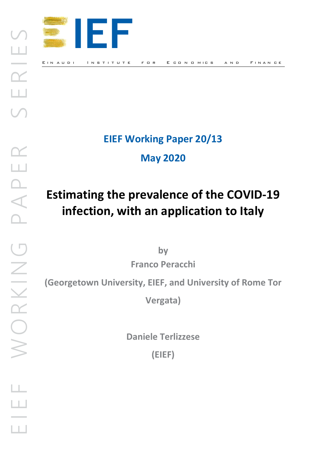

# EIEF Working Paper 20/13

May 2020

# Estimating the prevalence of the COVID-19 infection, with an application to Italy

by

Franco Peracchi

(Georgetown University, EIEF, and University of Rome Tor Franco<br>
Georgetown University, EIE<br>
Market School

Vergata)

Daniele Terlizzese

(EIEF)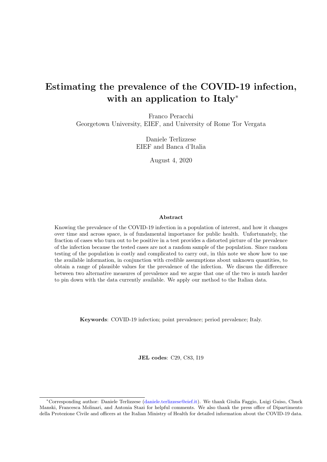# Estimating the prevalence of the COVID-19 infection, with an application to Italy<sup>∗</sup>

Franco Peracchi Georgetown University, EIEF, and University of Rome Tor Vergata

> Daniele Terlizzese EIEF and Banca d'Italia

> > August 4, 2020

#### Abstract

Knowing the prevalence of the COVID-19 infection in a population of interest, and how it changes over time and across space, is of fundamental importance for public health. Unfortunately, the fraction of cases who turn out to be positive in a test provides a distorted picture of the prevalence of the infection because the tested cases are not a random sample of the population. Since random testing of the population is costly and complicated to carry out, in this note we show how to use the available information, in conjunction with credible assumptions about unknown quantities, to obtain a range of plausible values for the prevalence of the infection. We discuss the difference between two alternative measures of prevalence and we argue that one of the two is much harder to pin down with the data currently available. We apply our method to the Italian data.

Keywords: COVID-19 infection; point prevalence; period prevalence; Italy.

JEL codes: C29, C83, I19

<sup>∗</sup>Corresponding author: Daniele Terlizzese [\(daniele.terlizzese@eief.it\)](mailto:daniele.terlizzese@eief.it). We thank Giulia Faggio, Luigi Guiso, Chuck Manski, Francesca Molinari, and Antonia Stazi for helpful comments. We also thank the press office of Dipartimento della Protezione Civile and officers at the Italian Ministry of Health for detailed information about the COVID-19 data.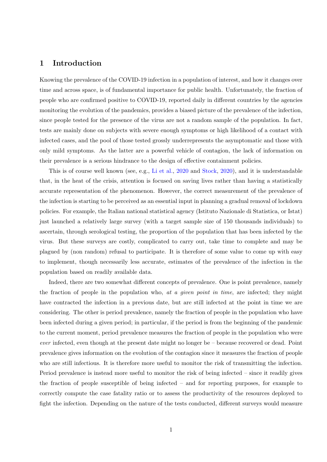## 1 Introduction

Knowing the prevalence of the COVID-19 infection in a population of interest, and how it changes over time and across space, is of fundamental importance for public health. Unfortunately, the fraction of people who are confirmed positive to COVID-19, reported daily in different countries by the agencies monitoring the evolution of the pandemics, provides a biased picture of the prevalence of the infection, since people tested for the presence of the virus are not a random sample of the population. In fact, tests are mainly done on subjects with severe enough symptoms or high likelihood of a contact with infected cases, and the pool of those tested grossly underrepresents the asymptomatic and those with only mild symptoms. As the latter are a powerful vehicle of contagion, the lack of information on their prevalence is a serious hindrance to the design of effective containment policies.

This is of course well known (see, e.g., Li et al., 2020 and Stock, 2020), and it is understandable that, in the heat of the crisis, attention is focused on saving lives rather than having a statistically accurate representation of the phenomenon. However, the correct measurement of the prevalence of the infection is starting to be perceived as an essential input in planning a gradual removal of lockdown policies. For example, the Italian national statistical agency (Istituto Nazionale di Statistica, or Istat) just launched a relatively large survey (with a target sample size of 150 thousands individuals) to ascertain, through serological testing, the proportion of the population that has been infected by the virus. But these surveys are costly, complicated to carry out, take time to complete and may be plagued by (non random) refusal to participate. It is therefore of some value to come up with easy to implement, though necessarily less accurate, estimates of the prevalence of the infection in the population based on readily available data.

Indeed, there are two somewhat different concepts of prevalence. One is point prevalence, namely the fraction of people in the population who, at a given point in time, are infected; they might have contracted the infection in a previous date, but are still infected at the point in time we are considering. The other is period prevalence, namely the fraction of people in the population who have been infected during a given period; in particular, if the period is from the beginning of the pandemic to the current moment, period prevalence measures the fraction of people in the population who were ever infected, even though at the present date might no longer be – because recovered or dead. Point prevalence gives information on the evolution of the contagion since it measures the fraction of people who are still infectious. It is therefore more useful to monitor the risk of transmitting the infection. Period prevalence is instead more useful to monitor the risk of being infected – since it readily gives the fraction of people susceptible of being infected – and for reporting purposes, for example to correctly compute the case fatality ratio or to assess the productivity of the resources deployed to fight the infection. Depending on the nature of the tests conducted, different surveys would measure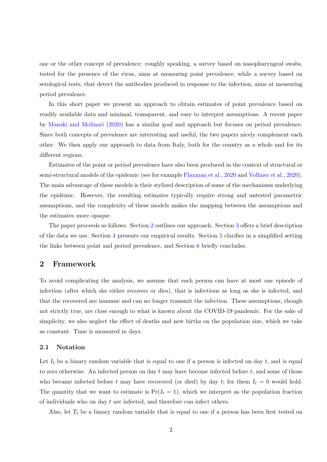one or the other concept of prevalence: roughly speaking, a survey based on nasopharyngeal swabs, tested for the presence of the virus, aims at measuring point prevalence, while a survey based on serological tests, that detect the antibodies produced in response to the infection, aims at measuring period prevalence.

In this short paper we present an approach to obtain estimates of point prevalence based on readily available data and minimal, transparent, and easy to interpret assumptions. A recent paper by Manski and Molinari (2020) has a similar goal and approach but focuses on period prevalence. Since both concepts of prevalence are interesting and useful, the two papers nicely complement each other. We then apply our approach to data from Italy, both for the country as a whole and for its different regions.

Estimates of the point or period prevalence have also been produced in the context of structural or semi-structural models of the epidemic (see for example Flaxman et al., 2020 and Vollmer et al., 2020). The main advantage of these models is their stylized description of some of the mechanisms underlying the epidemic. However, the resulting estimates typically require strong and untested parametric assumptions, and the complexity of these models makes the mapping between the assumptions and the estimates more opaque.

The paper proceeds as follows. Section 2 outlines our approach. Section 3 offers a brief description of the data we use. Section 4 presents our empirical results. Section 5 clarifies in a simplified setting the links between point and period prevalence, and Section 6 briefly concludes.

#### 2 Framework

To avoid complicating the analysis, we assume that each person can have at most one episode of infection (after which she either recovers or dies), that is infectious as long as she is infected, and that the recovered are immune and can no longer transmit the infection. These assumptions, though not strictly true, are close enough to what is known about the COVID-19 pandemic. For the sake of simplicity, we also neglect the effect of deaths and new births on the population size, which we take as constant. Time is measured in days.

#### 2.1 Notation

Let  $I_t$  be a binary random variable that is equal to one if a person is infected on day t, and is equal to zero otherwise. An infected person on day  $t$  may have become infected before  $t$ , and some of those who became infected before t may have recovered (or died) by day t; for them  $I_t = 0$  would hold. The quantity that we want to estimate is  $Pr(I_t = 1)$ , which we interpret as the population fraction of individuals who on day t are infected, and therefore can infect others.

Also, let  $T_t$  be a binary random variable that is equal to one if a person has been first tested on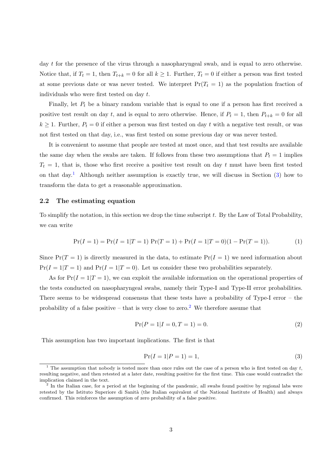day t for the presence of the virus through a nasopharyngeal swab, and is equal to zero otherwise. Notice that, if  $T_t = 1$ , then  $T_{t+k} = 0$  for all  $k \ge 1$ . Further,  $T_t = 0$  if either a person was first tested at some previous date or was never tested. We interpret  $Pr(T_t = 1)$  as the population fraction of individuals who were first tested on day  $t$ .

Finally, let  $P_t$  be a binary random variable that is equal to one if a person has first received a positive test result on day t, and is equal to zero otherwise. Hence, if  $P_t = 1$ , then  $P_{t+k} = 0$  for all  $k \geq 1$ . Further,  $P_t = 0$  if either a person was first tested on day t with a negative test result, or was not first tested on that day, i.e., was first tested on some previous day or was never tested.

It is convenient to assume that people are tested at most once, and that test results are available the same day when the swabs are taken. If follows from these two assumptions that  $P_t = 1$  implies  $T<sub>t</sub> = 1$ , that is, those who first receive a positive test result on day t must have been first tested on that day.<sup>1</sup> Although neither assumption is exactly true, we will discuss in Section  $(3)$  how to transform the data to get a reasonable approximation.

#### 2.2 The estimating equation

To simplify the notation, in this section we drop the time subscript  $t$ . By the Law of Total Probability, we can write

$$
Pr(I = 1) = Pr(I = 1|T = 1) Pr(T = 1) + Pr(I = 1|T = 0)(1 - Pr(T = 1)).
$$
\n(1)

Since  $Pr(T = 1)$  is directly measured in the data, to estimate  $Pr(I = 1)$  we need information about  $Pr(I = 1|T = 1)$  and  $Pr(I = 1|T = 0)$ . Let us consider these two probabilities separately.

As for  $Pr(I = 1|T = 1)$ , we can exploit the available information on the operational properties of the tests conducted on nasopharyngeal swabs, namely their Type-I and Type-II error probabilities. There seems to be widespread consensus that these tests have a probability of Type-I error – the probability of a false positive – that is very close to zero.<sup>2</sup> We therefore assume that

$$
\Pr(P = 1 | I = 0, T = 1) = 0. \tag{2}
$$

This assumption has two important implications. The first is that

$$
Pr(I = 1 | P = 1) = 1,\t(3)
$$

<sup>&</sup>lt;sup>1</sup> The assumption that nobody is tested more than once rules out the case of a person who is first tested on day t, resulting negative, and then retested at a later date, resulting positive for the first time. This case would contradict the implication claimed in the text.

<sup>&</sup>lt;sup>2</sup> In the Italian case, for a period at the beginning of the pandemic, all swabs found positive by regional labs were retested by the Istituto Superiore di Sanità (the Italian equivalent of the National Institute of Health) and always confirmed. This reinforces the assumption of zero probability of a false positive.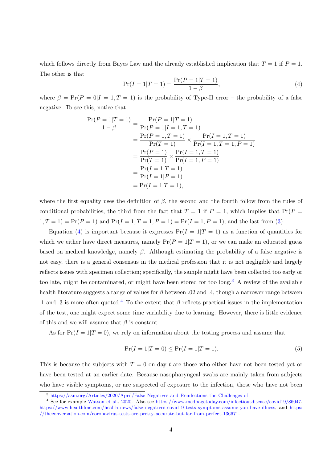which follows directly from Bayes Law and the already established implication that  $T = 1$  if  $P = 1$ . The other is that

$$
\Pr(I = 1 | T = 1) = \frac{\Pr(P = 1 | T = 1)}{1 - \beta},\tag{4}
$$

where  $\beta = \Pr(P = 0|I = 1, T = 1)$  is the probability of Type-II error – the probability of a false negative. To see this, notice that

$$
\frac{\Pr(P=1|T=1)}{1-\beta} = \frac{\Pr(P=1|T=1)}{\Pr(P=1|I=1,T=1)} \n= \frac{\Pr(P=1|T=1)}{\Pr(T=1)} \times \frac{\Pr(I=1,T=1)}{\Pr(I=1,T=1,P=1)} \n= \frac{\Pr(P=1)}{\Pr(T=1)} \times \frac{\Pr(I=1,T=1)}{\Pr(I=1,P=1)} \n= \frac{\Pr(I=1|T=1)}{\Pr(I=1|P=1)} \n= \Pr(I=1|T=1),
$$

where the first equality uses the definition of  $\beta$ , the second and the fourth follow from the rules of conditional probabilities, the third from the fact that  $T = 1$  if  $P = 1$ , which implies that  $Pr(P = 1)$  $1, T = 1$  = Pr( $P = 1$ ) and Pr( $I = 1, T = 1, P = 1$ ) = Pr( $I = 1, P = 1$ ), and the last from (3).

Equation (4) is important because it expresses  $Pr(I = 1|T = 1)$  as a function of quantities for which we either have direct measures, namely  $Pr(P = 1|T = 1)$ , or we can make an educated guess based on medical knowledge, namely  $\beta$ . Although estimating the probability of a false negative is not easy, there is a general consensus in the medical profession that it is not negligible and largely reflects issues with specimen collection; specifically, the sample might have been collected too early or too late, might be contaminated, or might have been stored for too long.<sup>3</sup> A review of the available health literature suggests a range of values for  $\beta$  between .02 and .4, though a narrower range between .1 and .3 is more often quoted.<sup>4</sup> To the extent that  $\beta$  reflects practical issues in the implementation of the test, one might expect some time variability due to learning. However, there is little evidence of this and we will assume that  $\beta$  is constant.

As for  $Pr(I = 1|T = 0)$ , we rely on information about the testing process and assume that

$$
\Pr(I = 1 | T = 0) \le \Pr(I = 1 | T = 1). \tag{5}
$$

This is because the subjects with  $T = 0$  on day t are those who either have not been tested yet or have been tested at an earlier date. Because nasopharyngeal swabs are mainly taken from subjects who have visible symptoms, or are suspected of exposure to the infection, those who have not been

<sup>3</sup> [https://asm.org/Articles/2020/April/False-Negatives-and-Reinfections-the-Challenges-of.](https://asm.org/Articles/2020/April/False-Negatives-and-Reinfections-the-Challenges-of)

<sup>4</sup> See for example Watson et al., 2020. Also see [https://www.medpagetoday.com/infectiousdisease/covid19/86047,](https://www.medpagetoday.com/infectiousdisease/covid19/86047) [https://www.healthline.com/health-news/false-negatives-covid19-tests-symptoms-assume-you-have-illness,](https://www.healthline.com/health-news/false-negatives-covid19-tests-symptoms-assume-you-have-illness) and [https:](https://theconversation.com/coronavirus-tests-are-pretty-accurate-but-far-from-perfect-136671) [//theconversation.com/coronavirus-tests-are-pretty-accurate-but-far-from-perfect-136671.](https://theconversation.com/coronavirus-tests-are-pretty-accurate-but-far-from-perfect-136671)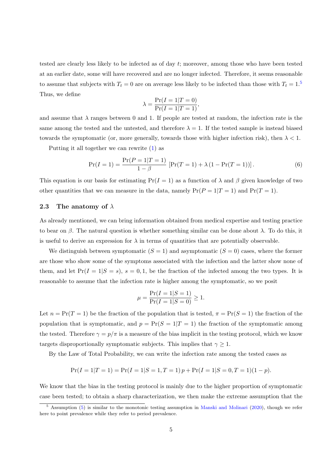tested are clearly less likely to be infected as of day t; moreover, among those who have been tested at an earlier date, some will have recovered and are no longer infected. Therefore, it seems reasonable to assume that subjects with  $T_t = 0$  are on average less likely to be infected than those with  $T_t = 1.5$ Thus, we define

$$
\lambda = \frac{\Pr(I = 1 | T = 0)}{\Pr(I = 1 | T = 1)},
$$

and assume that  $\lambda$  ranges between 0 and 1. If people are tested at random, the infection rate is the same among the tested and the untested, and therefore  $\lambda = 1$ . If the tested sample is instead biased towards the symptomatic (or, more generally, towards those with higher infection risk), then  $\lambda < 1$ .

Putting it all together we can rewrite (1) as

$$
\Pr(I=1) = \frac{\Pr(P=1|T=1)}{1-\beta} \left[ \Pr(T=1) + \lambda \left( 1 - \Pr(T=1) \right) \right]. \tag{6}
$$

This equation is our basis for estimating  $Pr(I = 1)$  as a function of  $\lambda$  and  $\beta$  given knowledge of two other quantities that we can measure in the data, namely  $Pr(P = 1|T = 1)$  and  $Pr(T = 1)$ .

#### 2.3 The anatomy of  $\lambda$

As already mentioned, we can bring information obtained from medical expertise and testing practice to bear on  $\beta$ . The natural question is whether something similar can be done about  $\lambda$ . To do this, it is useful to derive an expression for  $\lambda$  in terms of quantities that are potentially observable.

We distinguish between symptomatic  $(S = 1)$  and asymptomatic  $(S = 0)$  cases, where the former are those who show some of the symptoms associated with the infection and the latter show none of them, and let  $Pr(I = 1|S = s)$ ,  $s = 0, 1$ , be the fraction of the infected among the two types. It is reasonable to assume that the infection rate is higher among the symptomatic, so we posit

$$
\mu = \frac{\Pr(I = 1|S = 1)}{\Pr(I = 1|S = 0)} \ge 1.
$$

Let  $n = Pr(T = 1)$  be the fraction of the population that is tested,  $\pi = Pr(S = 1)$  the fraction of the population that is symptomatic, and  $p = Pr(S = 1|T = 1)$  the fraction of the symptomatic among the tested. Therefore  $\gamma = p/\pi$  is a measure of the bias implicit in the testing protocol, which we know targets disproportionally symptomatic subjects. This implies that  $\gamma \geq 1$ .

By the Law of Total Probability, we can write the infection rate among the tested cases as

$$
Pr(I = 1|T = 1) = Pr(I = 1|S = 1, T = 1)p + Pr(I = 1|S = 0, T = 1)(1 - p).
$$

We know that the bias in the testing protocol is mainly due to the higher proportion of symptomatic case been tested; to obtain a sharp characterization, we then make the extreme assumption that the

<sup>&</sup>lt;sup>5</sup> Assumption (5) is similar to the monotonic testing assumption in Manski and Molinari (2020), though we refer here to point prevalence while they refer to period prevalence.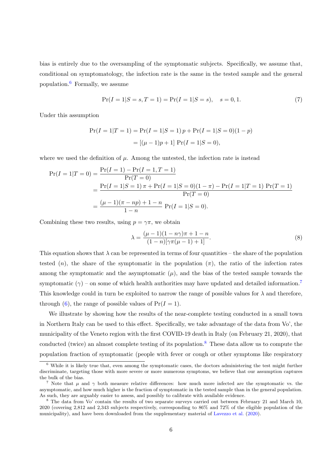bias is entirely due to the oversampling of the symptomatic subjects. Specifically, we assume that, conditional on symptomatology, the infection rate is the same in the tested sample and the general population. $6$  Formally, we assume

$$
Pr(I = 1|S = s, T = 1) = Pr(I = 1|S = s), s = 0, 1.
$$
\n(7)

Under this assumption

$$
Pr(I = 1|T = 1) = Pr(I = 1|S = 1) p + Pr(I = 1|S = 0)(1 - p)
$$

$$
= [(\mu - 1)p + 1] Pr(I = 1|S = 0),
$$

where we used the definition of  $\mu$ . Among the untested, the infection rate is instead

$$
Pr(I = 1|T = 0) = \frac{Pr(I = 1) - Pr(I = 1, T = 1)}{Pr(T = 0)}
$$
  
= 
$$
\frac{Pr(I = 1|S = 1) \pi + Pr(I = 1|S = 0)(1 - \pi) - Pr(I = 1|T = 1)Pr(T = 1)}{Pr(T = 0)}
$$
  
= 
$$
\frac{(\mu - 1)(\pi - np) + 1 - n}{1 - n} Pr(I = 1|S = 0).
$$

Combining these two results, using  $p = \gamma \pi$ , we obtain

$$
\lambda = \frac{(\mu - 1)(1 - n\gamma)\pi + 1 - n}{(1 - n)[\gamma\pi(\mu - 1) + 1]}.
$$
\n(8)

This equation shows that  $\lambda$  can be represented in terms of four quantities – the share of the population tested  $(n)$ , the share of the symptomatic in the population  $(\pi)$ , the ratio of the infection rates among the symptomatic and the asymptomatic  $(\mu)$ , and the bias of the tested sample towards the symptomatic  $(\gamma)$  – on some of which health authorities may have updated and detailed information.<sup>7</sup> This knowledge could in turn be exploited to narrow the range of possible values for  $\lambda$  and therefore, through (6), the range of possible values of  $Pr(I = 1)$ .

We illustrate by showing how the results of the near-complete testing conducted in a small town in Northern Italy can be used to this effect. Specifically, we take advantage of the data from Vo', the municipality of the Veneto region with the first COVID-19 death in Italy (on February 21, 2020), that conducted (twice) an almost complete testing of its population.<sup>8</sup> These data allow us to compute the population fraction of symptomatic (people with fever or cough or other symptoms like respiratory

<sup>6</sup> While it is likely true that, even among the symptomatic cases, the doctors administering the test might further discriminate, targeting those with more severe or more numerous symptoms, we believe that our assumption captures the bulk of the bias.

<sup>&</sup>lt;sup>7</sup> Note that  $\mu$  and  $\gamma$  both measure relative differences: how much more infected are the symptomatic vs. the asymptomatic, and how much higher is the fraction of symptomatic in the tested sample than in the general population. As such, they are arguably easier to assess, and possibly to calibrate with available evidence.

<sup>8</sup> The data from Vo' contain the results of two separate surveys carried out between February 21 and March 10, 2020 (covering 2,812 and 2,343 subjects respectively, corresponding to 86% and 72% of the eligible population of the municipality), and have been downloaded from the supplementary material of Lavezzo et al. (2020).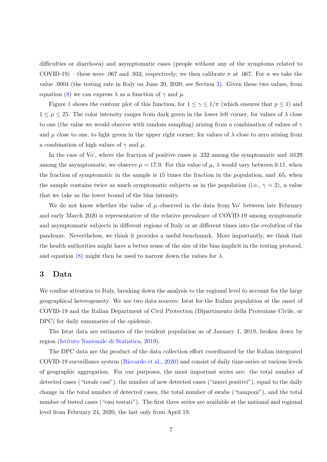difficulties or diarrhoea) and asymptomatic cases (people without any of the symptoms related to COVID-19) – these were .067 and .933, respectively; we then calibrate  $\pi$  at .067. For n we take the value .0004 (the testing rate in Italy on June 20, 2020; see Section 3). Given these two values, from equation (8) we can express  $\lambda$  as a function of  $\gamma$  and  $\mu$ .

Figure 1 shows the contour plot of this function, for  $1 \leq \gamma \leq 1/\pi$  (which ensures that  $p \leq 1$ ) and  $1 \leq \mu \leq 25$ . The color intensity ranges from dark green in the lower left corner, for values of  $\lambda$  close to one (the value we would observe with random sampling) arising from a combination of values of  $\gamma$ and  $\mu$  close to one, to light green in the upper right corner, for values of  $\lambda$  close to zero arising from a combination of high values of  $\gamma$  and  $\mu$ .

In the case of Vo', where the fraction of positive cases is .232 among the symptomatic and .0129 among the asymptomatic, we observe  $\mu = 17.9$ . For this value of  $\mu$ ,  $\lambda$  would vary between 0.11, when the fraction of symptomatic in the sample is 15 times the fraction in the population, and .65, when the sample contains twice as much symptomatic subjects as in the population (i.e.,  $\gamma = 2$ ), a value that we take as the lower bound of the bias intensity.

We do not know whether the value of  $\mu$  observed in the data from Vo' between late February and early March 2020 is representative of the relative prevalence of COVID-19 among symptomatic and asymptomatic subjects in different regions of Italy or at different times into the evolution of the pandemic. Nevertheless, we think it provides a useful benchmark. More importantly, we think that the health authorities might have a better sense of the size of the bias implicit in the testing protocol, and equation (8) might then be used to narrow down the values for  $\lambda$ .

#### 3 Data

We confine attention to Italy, breaking down the analysis to the regional level to account for the large geographical heterogeneity. We use two data sources: Istat for the Italian population at the onset of COVID-19 and the Italian Department of Civil Protection (Dipartimento della Protezione Civile, or DPC) for daily summaries of the epidemic.

The Istat data are estimates of the resident population as of January 1, 2019, broken down by region (Istituto Nazionale di Statistica, 2019).

The DPC data are the product of the data collection effort coordinated by the Italian integrated COVID-19 surveillance system (Riccardo et al., 2020) and consist of daily time-series at various levels of geographic aggregation. For our purposes, the most important series are: the total number of detected cases ("totale casi"), the number of new detected cases ("nuovi positivi"), equal to the daily change in the total number of detected cases, the total number of swabs ("tamponi"), and the total number of tested cases ("casi testati"). The first three series are available at the national and regional level from February 24, 2020, the last only from April 19.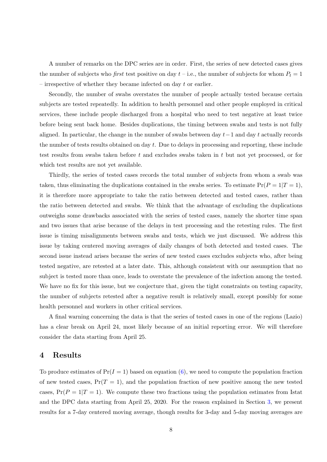A number of remarks on the DPC series are in order. First, the series of new detected cases gives the number of subjects who *first* test positive on day  $t$  – i.e., the number of subjects for whom  $P_t = 1$ – irrespective of whether they became infected on day  $t$  or earlier.

Secondly, the number of swabs overstates the number of people actually tested because certain subjects are tested repeatedly. In addition to health personnel and other people employed in critical services, these include people discharged from a hospital who need to test negative at least twice before being sent back home. Besides duplications, the timing between swabs and tests is not fully aligned. In particular, the change in the number of swabs between day  $t-1$  and day t actually records the number of tests results obtained on day t. Due to delays in processing and reporting, these include test results from swabs taken before t and excludes swabs taken in t but not yet processed, or for which test results are not yet available.

Thirdly, the series of tested cases records the total number of subjects from whom a swab was taken, thus eliminating the duplications contained in the swabs series. To estimate  $Pr(P = 1|T = 1)$ , it is therefore more appropriate to take the ratio between detected and tested cases, rather than the ratio between detected and swabs. We think that the advantage of excluding the duplications outweighs some drawbacks associated with the series of tested cases, namely the shorter time span and two issues that arise because of the delays in test processing and the retesting rules. The first issue is timing misalignments between swabs and tests, which we just discussed. We address this issue by taking centered moving averages of daily changes of both detected and tested cases. The second issue instead arises because the series of new tested cases excludes subjects who, after being tested negative, are retested at a later date. This, although consistent with our assumption that no subject is tested more than once, leads to overstate the prevalence of the infection among the tested. We have no fix for this issue, but we conjecture that, given the tight constraints on testing capacity, the number of subjects retested after a negative result is relatively small, except possibly for some health personnel and workers in other critical services.

A final warning concerning the data is that the series of tested cases in one of the regions (Lazio) has a clear break on April 24, most likely because of an initial reporting error. We will therefore consider the data starting from April 25.

#### 4 Results

To produce estimates of  $Pr(I = 1)$  based on equation (6), we need to compute the population fraction of new tested cases,  $Pr(T = 1)$ , and the population fraction of new positive among the new tested cases,  $Pr(P = 1|T = 1)$ . We compute these two fractions using the population estimates from Istat and the DPC data starting from April 25, 2020. For the reason explained in Section 3, we present results for a 7-day centered moving average, though results for 3-day and 5-day moving averages are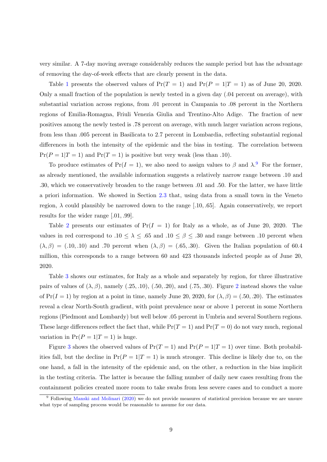very similar. A 7-day moving average considerably reduces the sample period but has the advantage of removing the day-of-week effects that are clearly present in the data.

Table 1 presents the observed values of  $Pr(T = 1)$  and  $Pr(P = 1|T = 1)$  as of June 20, 2020. Only a small fraction of the population is newly tested in a given day (.04 percent on average), with substantial variation across regions, from .01 percent in Campania to .08 percent in the Northern regions of Emilia-Romagna, Friuli Venezia Giulia and Trentino-Alto Adige. The fraction of new positives among the newly tested is .78 percent on average, with much larger variation across regions, from less than .005 percent in Basilicata to 2.7 percent in Lombardia, reflecting substantial regional differences in both the intensity of the epidemic and the bias in testing. The correlation between  $Pr(P = 1|T = 1)$  and  $Pr(T = 1)$  is positive but very weak (less than .10).

To produce estimates of Pr( $I = 1$ ), we also need to assign values to  $\beta$  and  $\lambda$ .<sup>9</sup> For the former, as already mentioned, the available information suggests a relatively narrow range between .10 and .30, which we conservatively broaden to the range between .01 and .50. For the latter, we have little a priori information. We showed in Section 2.3 that, using data from a small town in the Veneto region,  $\lambda$  could plausibly be narrowed down to the range [.10, .65]. Again conservatively, we report results for the wider range [.01, .99].

Table 2 presents our estimates of  $Pr(I = 1)$  for Italy as a whole, as of June 20, 2020. The values in red correspond to .10  $\leq \lambda \leq .65$  and .10  $\leq \beta \leq .30$  and range between .10 percent when  $(\lambda, \beta) = (.10, .10)$  and .70 percent when  $(\lambda, \beta) = (.65, .30)$ . Given the Italian population of 60.4 million, this corresponds to a range between 60 and 423 thousands infected people as of June 20, 2020.

Table 3 shows our estimates, for Italy as a whole and separately by region, for three illustrative pairs of values of  $(\lambda, \beta)$ , namely (.25, .10), (.50, .20), and (.75, .30). Figure 2 instead shows the value of  $Pr(I = 1)$  by region at a point in time, namely June 20, 2020, for  $(\lambda, \beta) = (.50, .20)$ . The estimates reveal a clear North-South gradient, with point prevalence near or above 1 percent in some Northern regions (Piedmont and Lombardy) but well below .05 percent in Umbria and several Southern regions. These large differences reflect the fact that, while  $Pr(T = 1)$  and  $Pr(T = 0)$  do not vary much, regional variation in  $Pr(P = 1 | T = 1)$  is huge.

Figure 3 shows the observed values of  $Pr(T = 1)$  and  $Pr(P = 1|T = 1)$  over time. Both probabilities fall, but the decline in  $Pr(P = 1|T = 1)$  is much stronger. This decline is likely due to, on the one hand, a fall in the intensity of the epidemic and, on the other, a reduction in the bias implicit in the testing criteria. The latter is because the falling number of daily new cases resulting from the containment policies created more room to take swabs from less severe cases and to conduct a more

<sup>9</sup> Following Manski and Molinari (2020) we do not provide measures of statistical precision because we are unsure what type of sampling process would be reasonable to assume for our data.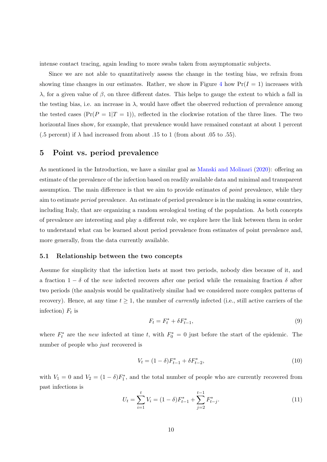intense contact tracing, again leading to more swabs taken from asymptomatic subjects.

Since we are not able to quantitatively assess the change in the testing bias, we refrain from showing time changes in our estimates. Rather, we show in Figure 4 how  $Pr(I = 1)$  increases with λ, for a given value of  $\beta$ , on three different dates. This helps to gauge the extent to which a fall in the testing bias, i.e. an increase in  $\lambda$ , would have offset the observed reduction of prevalence among the tested cases  $(\Pr(P = 1|T = 1))$ , reflected in the clockwise rotation of the three lines. The two horizontal lines show, for example, that prevalence would have remained constant at about 1 percent (.5 percent) if  $\lambda$  had increased from about .15 to 1 (from about .05 to .55).

### 5 Point vs. period prevalence

As mentioned in the Introduction, we have a similar goal as Manski and Molinari (2020): offering an estimate of the prevalence of the infection based on readily available data and minimal and transparent assumption. The main difference is that we aim to provide estimates of point prevalence, while they aim to estimate period prevalence. An estimate of period prevalence is in the making in some countries, including Italy, that are organizing a random serological testing of the population. As both concepts of prevalence are interesting and play a different role, we explore here the link between them in order to understand what can be learned about period prevalence from estimates of point prevalence and, more generally, from the data currently available.

#### 5.1 Relationship between the two concepts

Assume for simplicity that the infection lasts at most two periods, nobody dies because of it, and a fraction  $1 - \delta$  of the new infected recovers after one period while the remaining fraction  $\delta$  after two periods (the analysis would be qualitatively similar had we considered more complex patterns of recovery). Hence, at any time  $t \geq 1$ , the number of *currently* infected (i.e., still active carriers of the infection)  $F_t$  is

$$
F_t = F_t^* + \delta F_{t-1}^*,\tag{9}
$$

where  $F_t^*$  are the new infected at time t, with  $F_0^* = 0$  just before the start of the epidemic. The number of people who just recovered is

$$
V_t = (1 - \delta)F_{t-1}^* + \delta F_{t-2}^*,\tag{10}
$$

with  $V_1 = 0$  and  $V_2 = (1 - \delta)F_1^*$ , and the total number of people who are currently recovered from past infections is

$$
U_t = \sum_{i=1}^t V_i = (1 - \delta) F_{t-1}^* + \sum_{j=2}^{t-1} F_{t-j}^*.
$$
\n(11)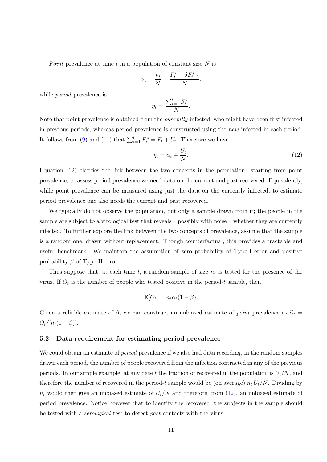Point prevalence at time t in a population of constant size  $N$  is

$$
\alpha_t = \frac{F_t}{N} = \frac{F_t^* + \delta F_{t-1}^*}{N},
$$

while *period* prevalence is

$$
\eta_t = \frac{\sum_{i=1}^t F_i^*}{N}.
$$

Note that point prevalence is obtained from the *currently* infected, who might have been first infected in previous periods, whereas period prevalence is constructed using the new infected in each period. It follows from (9) and (11) that  $\sum_{i=1}^{t} F_i^* = F_t + U_t$ . Therefore we have

$$
\eta_t = \alpha_t + \frac{U_t}{N}.\tag{12}
$$

Equation (12) clarifies the link between the two concepts in the population: starting from point prevalence, to assess period prevalence we need data on the current and past recovered. Equivalently, while point prevalence can be measured using just the data on the currently infected, to estimate period prevalence one also needs the current and past recovered.

We typically do not observe the population, but only a sample drawn from it; the people in the sample are subject to a virological test that reveals – possibly with noise – whether they are currently infected. To further explore the link between the two concepts of prevalence, assume that the sample is a random one, drawn without replacement. Though counterfactual, this provides a tractable and useful benchmark. We maintain the assumption of zero probability of Type-I error and positive probability  $\beta$  of Type-II error.

Thus suppose that, at each time t, a random sample of size  $n_t$  is tested for the presence of the virus. If  $O_t$  is the number of people who tested positive in the period-t sample, then

$$
\mathbb{E}[O_t] = n_t \alpha_t (1 - \beta).
$$

Given a reliable estimate of  $\beta$ , we can construct an unbiased estimate of *point* prevalence as  $\hat{\alpha}_t$  $O_t/[n_t(1-\beta)].$ 

#### 5.2 Data requirement for estimating period prevalence

We could obtain an estimate of *period* prevalence if we also had data recording, in the random samples drawn each period, the number of people recovered from the infection contracted in any of the previous periods. In our simple example, at any date t the fraction of recovered in the population is  $U_t/N$ , and therefore the number of recovered in the period-t sample would be (on average)  $n_t U_t/N$ . Dividing by  $n_t$  would then give an unbiased estimate of  $U_t/N$  and therefore, from (12), an unbiased estimate of period prevalence. Notice however that to identify the recovered, the subjects in the sample should be tested with a serological test to detect past contacts with the virus.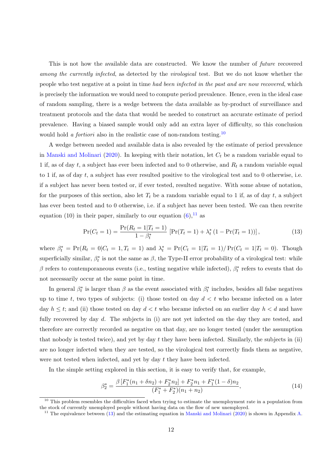This is not how the available data are constructed. We know the number of future recovered among the currently infected, as detected by the virological test. But we do not know whether the people who test negative at a point in time had been infected in the past and are now recovered, which is precisely the information we would need to compute period prevalence. Hence, even in the ideal case of random sampling, there is a wedge between the data available as by-product of surveillance and treatment protocols and the data that would be needed to construct an accurate estimate of period prevalence. Having a biased sample would only add an extra layer of difficulty, so this conclusion would hold a *fortiori* also in the realistic case of non-random testing.<sup>10</sup>

A wedge between needed and available data is also revealed by the estimate of period prevalence in Manski and Molinari (2020). In keeping with their notation, let  $C_t$  be a random variable equal to 1 if, as of day t, a subject has ever been infected and to 0 otherwise, and  $R_t$  a random variable equal to 1 if, as of day t, a subject has ever resulted positive to the virological test and to 0 otherwise, i.e. if a subject has never been tested or, if ever tested, resulted negative. With some abuse of notation, for the purposes of this section, also let  $T_t$  be a random variable equal to 1 if, as of day t, a subject has ever been tested and to 0 otherwise, i.e. if a subject has never been tested. We can then rewrite equation (10) in their paper, similarly to our equation  $(6)$ , <sup>11</sup> as

$$
\Pr(C_t = 1) = \frac{\Pr(R_t = 1 | T_t = 1)}{1 - \beta_t^*} \left[ \Pr(T_t = 1) + \lambda_t^* \left( 1 - \Pr(T_t = 1) \right) \right],\tag{13}
$$

where  $\beta_t^* = \Pr(R_t = 0 | C_t = 1, T_t = 1)$  and  $\lambda_t^* = \Pr(C_t = 1 | T_t = 1) / \Pr(C_t = 1 | T_t = 0)$ . Though superficially similar,  $\beta_t^*$  is not the same as  $\beta$ , the Type-II error probability of a virological test: while  $\beta$  refers to contemporaneous events (i.e., testing negative while infected),  $\beta_t^*$  refers to events that do not necessarily occur at the same point in time.

In general  $\beta_t^*$  is larger than  $\beta$  as the event associated with  $\beta_t^*$  includes, besides all false negatives up to time t, two types of subjects: (i) those tested on day  $d < t$  who became infected on a later day  $h \leq t$ ; and (ii) those tested on day  $d \leq t$  who became infected on an earlier day  $h \leq d$  and have fully recovered by day d. The subjects in (i) are not yet infected on the day they are tested, and therefore are correctly recorded as negative on that day, are no longer tested (under the assumption that nobody is tested twice), and yet by day t they have been infected. Similarly, the subjects in (ii) are no longer infected when they are tested, so the virological test correctly finds them as negative, were not tested when infected, and yet by day t they have been infected.

In the simple setting explored in this section, it is easy to verify that, for example,

$$
\beta_2^* = \frac{\beta \left[ F_1^*(n_1 + \delta n_2) + F_2^* n_2 \right] + F_2^* n_1 + F_1^*(1 - \delta) n_2}{(F_1^* + F_2^*)(n_1 + n_2)},\tag{14}
$$

 $10$  This problem resembles the difficulties faced when trying to estimate the unemployment rate in a population from the stock of currently unemployed people without having data on the flow of new unemployed.

<sup>&</sup>lt;sup>11</sup> The equivalence between (13) and the estimating equation in Manski and Molinari (2020) is shown in Appendix A.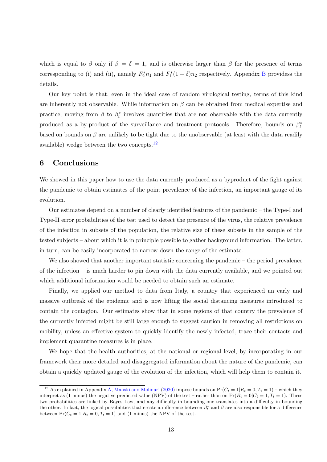which is equal to β only if  $\beta = \delta = 1$ , and is otherwise larger than β for the presence of terms corresponding to (i) and (ii), namely  $F_2^*n_1$  and  $F_1^*(1 - \delta)n_2$  respectively. Appendix B providess the details.

Our key point is that, even in the ideal case of random virological testing, terms of this kind are inherently not observable. While information on  $\beta$  can be obtained from medical expertise and practice, moving from  $\beta$  to  $\beta_t^*$  involves quantities that are not observable with the data currently produced as a by-product of the surveillance and treatment protocols. Therefore, bounds on  $\beta_t^*$ based on bounds on  $\beta$  are unlikely to be tight due to the unobservable (at least with the data readily available) wedge between the two concepts.12

#### 6 Conclusions

We showed in this paper how to use the data currently produced as a byproduct of the fight against the pandemic to obtain estimates of the point prevalence of the infection, an important gauge of its evolution.

Our estimates depend on a number of clearly identified features of the pandemic – the Type-I and Type-II error probabilities of the test used to detect the presence of the virus, the relative prevalence of the infection in subsets of the population, the relative size of these subsets in the sample of the tested subjects – about which it is in principle possible to gather background information. The latter, in turn, can be easily incorporated to narrow down the range of the estimate.

We also showed that another important statistic concerning the pandemic – the period prevalence of the infection – is much harder to pin down with the data currently available, and we pointed out which additional information would be needed to obtain such an estimate.

Finally, we applied our method to data from Italy, a country that experienced an early and massive outbreak of the epidemic and is now lifting the social distancing measures introduced to contain the contagion. Our estimates show that in some regions of that country the prevalence of the currently infected might be still large enough to suggest caution in removing all restrictions on mobility, unless an effective system to quickly identify the newly infected, trace their contacts and implement quarantine measures is in place.

We hope that the health authorities, at the national or regional level, by incorporating in our framework their more detailed and disaggregated information about the nature of the pandemic, can obtain a quickly updated gauge of the evolution of the infection, which will help them to contain it.

<sup>&</sup>lt;sup>12</sup> As explained in Appendix A, Manski and Molinari (2020) impose bounds on  $Pr(C_t = 1 | R_t = 0, T_t = 1)$  – which they interpret as (1 minus) the negative predicted value (NPV) of the test – rather than on  $Pr(R_t = 0|C_t = 1, T_t = 1)$ . These two probabilities are linked by Bayes Law, and any difficulty in bounding one translates into a difficulty in bounding the other. In fact, the logical possibilities that create a difference between  $\beta_t^*$  and  $\beta$  are also responsible for a difference between  $Pr(C_t = 1 | R_t = 0, T_t = 1)$  and (1 minus) the NPV of the test.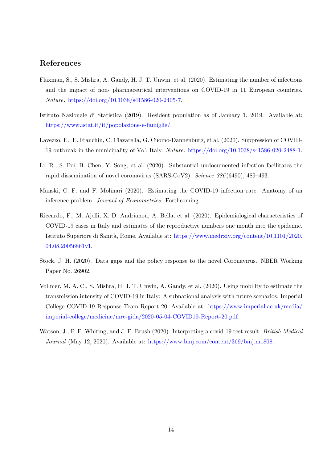# References

- Flaxman, S., S. Mishra, A. Gandy, H. J. T. Unwin, et al. (2020). Estimating the number of infections and the impact of non- pharmaceutical interventions on COVID-19 in 11 European countries. Nature. [https://doi.org/10.1038/s41586-020-2405-7.](https://doi.org/10.1038/s41586-020-2405-7)
- Istituto Nazionale di Statistica (2019). Resident population as of January 1, 2019. Available at: [https://www.istat.it/it/popolazione-e-famiglie/.](https://www.istat.it/it/popolazione-e-famiglie/)
- Lavezzo, E., E. Franchin, C. Ciavarella, G. Cuomo-Dannenburg, et al. (2020). Suppression of COVID-19 outbreak in the municipality of Vo', Italy. Nature. [https://doi.org/10.1038/s41586-020-2488-1.](https://doi.org/10.1038/s41586-020-2488-1)
- Li, R., S. Pei, B. Chen, Y. Song, et al. (2020). Substantial undocumented infection facilitates the rapid dissemination of novel coronavirus (SARS-CoV2). Science 386 (6490), 489–493.
- Manski, C. F. and F. Molinari (2020). Estimating the COVID-19 infection rate: Anatomy of an inference problem. Journal of Econometrics. Forthcoming.
- Riccardo, F., M. Ajelli, X. D. Andrianou, A. Bella, et al. (2020). Epidemiological characteristics of COVID-19 cases in Italy and estimates of the reproductive numbers one month into the epidemic. Istituto Superiore di Sanità, Rome. Available at: [https://www.medrxiv.org/content/10.1101/2020.](https://www.medrxiv.org/content/10.1101/2020.04.08.20056861v1) [04.08.20056861v1.](https://www.medrxiv.org/content/10.1101/2020.04.08.20056861v1)
- Stock, J. H. (2020). Data gaps and the policy response to the novel Coronavirus. NBER Working Paper No. 26902.
- Vollmer, M. A. C., S. Mishra, H. J. T. Unwin, A. Gandy, et al. (2020). Using mobility to estimate the transmission intensity of COVID-19 in Italy: A subnational analysis with future scenarios. Imperial College COVID-19 Response Team Report 20. Available at: [https://www.imperial.ac.uk/media/](https://www.imperial.ac.uk/media/imperial-college/medicine/mrc-gida/2020-05-04-COVID19-Report-20.pdf) [imperial-college/medicine/mrc-gida/2020-05-04-COVID19-Report-20.pdf.](https://www.imperial.ac.uk/media/imperial-college/medicine/mrc-gida/2020-05-04-COVID19-Report-20.pdf)
- Watson, J., P. F. Whiting, and J. E. Brush (2020). Interpreting a covid-19 test result. *British Medical* Journal (May 12, 2020). Available at: [https://www.bmj.com/content/369/bmj.m1808.](https://www.bmj.com/content/369/bmj.m1808)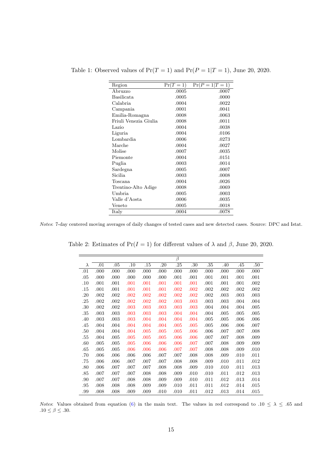| Region                | $Pr(T = 1)$ | $Pr(P = 1   T = 1)$ |
|-----------------------|-------------|---------------------|
| Abruzzo               | .0005       | .0007               |
| Basilicata            | .0005       | .0000               |
| Calabria              | .0004       | .0022               |
| Campania              | .0001       | .0041               |
| Emilia-Romagna        | .0008       | .0063               |
| Friuli Venezia Giulia | .0008       | .0011               |
| Lazio                 | .0004       | .0038               |
| Liguria               | .0004       | .0106               |
| Lombardia             | .0006       | .0273               |
| Marche                | .0004       | .0027               |
| Molise                | .0007       | .0035               |
| Piemonte              | .0004       | .0151               |
| Puglia                | .0003       | .0014               |
| Sardegna              | .0005       | .0007               |
| Sicilia               | .0003       | .0008               |
| Toscana               | .0004       | .0026               |
| Trentino-Alto Adige   | .0008       | .0069               |
| Umbria                | .0005       | .0003               |
| Valle d'Aosta         | .0006       | .0035               |
| Veneto                | .0005       | .0018               |
| Italy                 | .0004       | .0078               |

Table 1: Observed values of  $Pr(T = 1)$  and  $Pr(P = 1|T = 1)$ , June 20, 2020.

Notes: 7-day centered moving averages of daily changes of tested cases and new detected cases. Source: DPC and Istat.

|     |      |      |      |      |      | $\overline{\beta}$ |      |      |      |      |      |
|-----|------|------|------|------|------|--------------------|------|------|------|------|------|
| λ   | .01  | .05  | .10  | .15  | .20  | .25                | .30  | .35  | .40  | .45  | .50  |
| .01 | .000 | .000 | .000 | .000 | .000 | .000               | .000 | .000 | .000 | .000 | .000 |
| .05 | .000 | .000 | .000 | .000 | .000 | .001               | .001 | .001 | .001 | .001 | .001 |
| .10 | .001 | .001 | .001 | .001 | .001 | .001               | .001 | .001 | .001 | .001 | .002 |
| .15 | .001 | .001 | .001 | .001 | .001 | .002               | .002 | .002 | .002 | .002 | .002 |
| .20 | .002 | .002 | .002 | .002 | .002 | .002               | .002 | .002 | .003 | .003 | .003 |
| .25 | .002 | .002 | .002 | .002 | .002 | .003               | .003 | .003 | .003 | .004 | .004 |
| .30 | .002 | .002 | .003 | .003 | .003 | .003               | .003 | .004 | .004 | .004 | .005 |
| .35 | .003 | .003 | .003 | .003 | .003 | .004               | .004 | .004 | .005 | .005 | .005 |
| .40 | .003 | .003 | .003 | .004 | .004 | .004               | .004 | .005 | .005 | .006 | .006 |
| .45 | .004 | .004 | .004 | .004 | .004 | .005               | .005 | .005 | .006 | .006 | .007 |
| .50 | .004 | .004 | .004 | .005 | .005 | .005               | .006 | .006 | .007 | .007 | .008 |
| .55 | .004 | .005 | .005 | .005 | .005 | .006               | .006 | .007 | .007 | .008 | .009 |
| .60 | .005 | .005 | .005 | .006 | .006 | .006               | .007 | .007 | .008 | .009 | .009 |
| .65 | .005 | .005 | .006 | .006 | .006 | .007               | .007 | .008 | .008 | .009 | .010 |
| .70 | .006 | .006 | .006 | .006 | .007 | .007               | .008 | .008 | .009 | .010 | .011 |
| .75 | .006 | .006 | .007 | .007 | .007 | .008               | .008 | .009 | .010 | .011 | .012 |
| .80 | .006 | .007 | .007 | .007 | .008 | .008               | .009 | .010 | .010 | .011 | .013 |
| .85 | .007 | .007 | .007 | .008 | .008 | .009               | .010 | .010 | .011 | .012 | .013 |
| .90 | .007 | .007 | .008 | .008 | .009 | .009               | .010 | .011 | .012 | .013 | .014 |
| .95 | .008 | .008 | .008 | .009 | .009 | .010               | .011 | .011 | .012 | .014 | .015 |
| .99 | .008 | .008 | .009 | .009 | .010 | .010               | .011 | .012 | .013 | .014 | .015 |

Table 2: Estimates of Pr( $I = 1$ ) for different values of  $\lambda$  and  $\beta$ , June 20, 2020.

Notes: Values obtained from equation (6) in the main text. The values in red correspond to .10  $\leq \lambda \leq .65$  and .10  $\leq$   $\beta$   $\leq$  .30.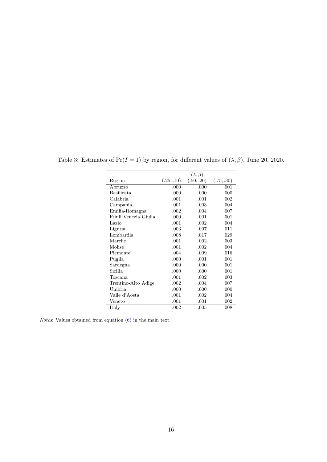|                       |            | $(\lambda, \beta)$ |            |
|-----------------------|------------|--------------------|------------|
| Region                | (.25, .10) | (0.50, .20)        | (.75, .30) |
| Abruzzo               | .000       | .000               | .001       |
| Basilicata            | .000       | .000               | .000       |
| Calabria              | .001       | .001               | .002       |
| Campania              | .001       | .003               | .004       |
| Emilia-Romagna        | .002       | .004               | .007       |
| Friuli Venezia Giulia | .000       | .001               | .001       |
| Lazio                 | .001       | .002               | .004       |
| Liguria               | .003       | .007               | .011       |
| Lombardia             | .008       | .017               | .029       |
| Marche                | .001       | .002               | .003       |
| Molise                | .001       | .002               | .004       |
| Piemonte              | .004       | .009               | .016       |
| Puglia                | .000       | .001               | .001       |
| Sardegna              | .000       | .000               | .001       |
| Sicilia               | .000       | .000               | .001       |
| Toscana               | .001       | .002               | .003       |
| Trentino-Alto Adige   | .002       | .004               | .007       |
| Umbria                | .000       | .000               | .000       |
| Valle d'Aosta         | .001       | .002               | .004       |
| Veneto                | .001       | .001               | .002       |
| <b>Italy</b>          | .002       | .005               | .008       |

Table 3: Estimates of Pr( $I = 1$ ) by region, for different values of  $(\lambda, \beta)$ , June 20, 2020.

 $=$ 

*Notes*: Values obtained from equation  $(6)$  in the main text.

 $\equiv$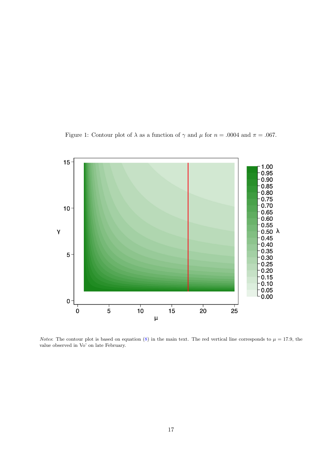Figure 1: Contour plot of  $\lambda$  as a function of  $\gamma$  and  $\mu$  for  $n = .0004$  and  $\pi = .067$ .



Notes: The contour plot is based on equation (8) in the main text. The red vertical line corresponds to  $\mu = 17.9$ , the value observed in Vo' on late February.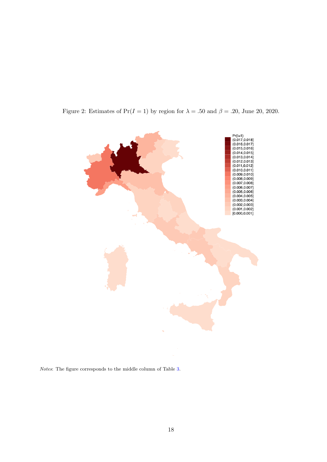Figure 2: Estimates of Pr(I = 1) by region for  $\lambda = .50$  and  $\beta = .20$ , June 20, 2020.



Notes: The figure corresponds to the middle column of Table 3.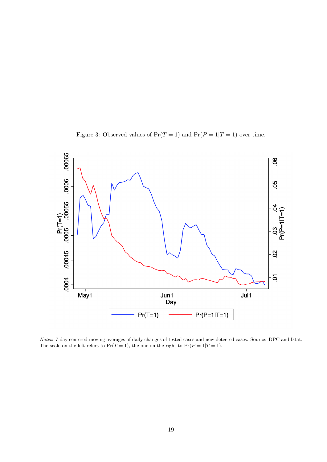Figure 3: Observed values of  $Pr(T = 1)$  and  $Pr(P = 1|T = 1)$  over time.



Notes: 7-day centered moving averages of daily changes of tested cases and new detected cases. Source: DPC and Istat. The scale on the left refers to  $Pr(T = 1)$ , the one on the right to  $Pr(P = 1|T = 1)$ .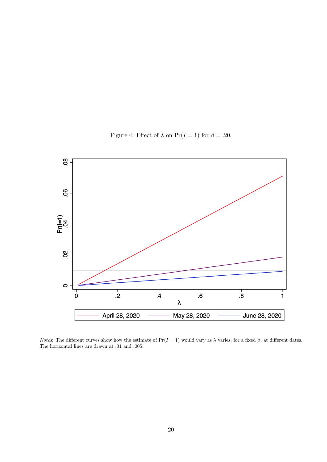Figure 4: Effect of  $\lambda$  on  $Pr(I = 1)$  for  $\beta = .20$ .



*Notes*: The different curves show how the estimate of Pr( $I = 1$ ) would vary as  $\lambda$  varies, for a fixed  $\beta$ , at different dates. The horizontal lines are drawn at .01 and .005.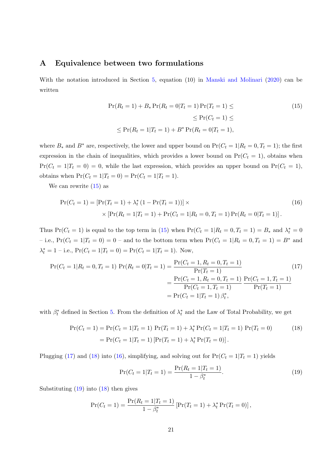#### A Equivalence between two formulations

With the notation introduced in Section 5, equation (10) in Manski and Molinari (2020) can be written

$$
\Pr(R_t = 1) + B_* \Pr(R_t = 0 | T_t = 1) \Pr(T_t = 1) \le
$$
\n
$$
\le \Pr(C_t = 1) \le
$$
\n
$$
\le \Pr(R_t = 1 | T_t = 1) + B^* \Pr(R_t = 0 | T_t = 1),
$$
\n(15)

where  $B_*$  and  $B^*$  are, respectively, the lower and upper bound on  $Pr(C_t = 1 | R_t = 0, T_t = 1)$ ; the first expression in the chain of inequalities, which provides a lower bound on  $Pr(C_t = 1)$ , obtains when  $Pr(C_t = 1|T_t = 0) = 0$ , while the last expression, which provides an upper bound on  $Pr(C_t = 1)$ , obtains when  $Pr(C_t = 1 | T_t = 0) = Pr(C_t = 1 | T_t = 1).$ 

We can rewrite  $(15)$  as

$$
\Pr(C_t = 1) = \left[ \Pr(T_t = 1) + \lambda_t^* (1 - \Pr(T_t = 1)) \right] \times \left[ \Pr(R_t = 1 | T_t = 1) + \Pr(C_t = 1 | R_t = 0, T_t = 1) \Pr(R_t = 0 | T_t = 1) \right].
$$
\n(16)

Thus Pr( $C_t = 1$ ) is equal to the top term in (15) when Pr( $C_t = 1 | R_t = 0, T_t = 1$ ) =  $B_*$  and  $\lambda_t^* = 0$ – i.e.,  $Pr(C_t = 1|T_t = 0) = 0$  – and to the bottom term when  $Pr(C_t = 1|R_t = 0, T_t = 1) = B^*$  and  $\lambda_t^* = 1$  – i.e.,  $Pr(C_t = 1 | T_t = 0) = Pr(C_t = 1 | T_t = 1)$ . Now,

$$
\Pr(C_t = 1 | R_t = 0, T_t = 1) \Pr(R_t = 0 | T_t = 1) = \frac{\Pr(C_t = 1, R_t = 0, T_t = 1)}{\Pr(T_t = 1)} = \frac{\Pr(C_t = 1, R_t = 0, T_t = 1)}{\Pr(C_t = 1, T_t = 1)} \frac{\Pr(C_t = 1, T_t = 1)}{\Pr(T_t = 1)} = \Pr(C_t = 1 | T_t = 1) \beta_t^*,
$$
\n(17)

with  $\beta_t^*$  defined in Section 5. From the definition of  $\lambda_t^*$  and the Law of Total Probability, we get

$$
\Pr(C_t = 1) = \Pr(C_t = 1 | T_t = 1) \Pr(T_t = 1) + \lambda_t^* \Pr(C_t = 1 | T_t = 1) \Pr(T_t = 0)
$$
\n
$$
= \Pr(C_t = 1 | T_t = 1) \left[ \Pr(T_t = 1) + \lambda_t^* \Pr(T_t = 0) \right].
$$
\n(18)

Plugging (17) and (18) into (16), simplifying, and solving out for  $Pr(C_t = 1|T_t = 1)$  yields

$$
\Pr(C_t = 1 | T_t = 1) = \frac{\Pr(R_t = 1 | T_t = 1)}{1 - \beta_t^*}.
$$
\n(19)

Substituting (19) into (18) then gives

$$
\Pr(C_t = 1) = \frac{\Pr(R_t = 1 | T_t = 1)}{1 - \beta_t^*} [\Pr(T_t = 1) + \lambda_t^* \Pr(T_t = 0)],
$$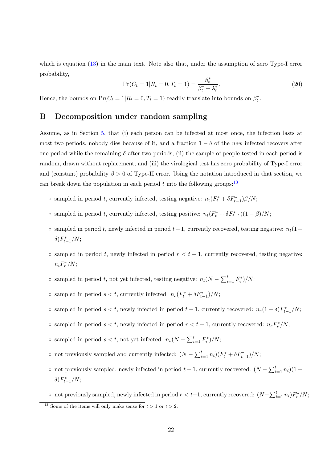which is equation  $(13)$  in the main text. Note also that, under the assumption of zero Type-I error probability,

$$
\Pr(C_t = 1 | R_t = 0, T_t = 1) = \frac{\beta_t^*}{\beta_t^* + \lambda_t^*}.
$$
\n(20)

Hence, the bounds on  $Pr(C_t = 1 | R_t = 0, T_t = 1)$  readily translate into bounds on  $\beta_t^*$ .

### B Decomposition under random sampling

Assume, as in Section 5, that (i) each person can be infected at most once, the infection lasts at most two periods, nobody dies because of it, and a fraction  $1 - \delta$  of the new infected recovers after one period while the remaining  $\delta$  after two periods; (ii) the sample of people tested in each period is random, drawn without replacement; and (iii) the virological test has zero probability of Type-I error and (constant) probability  $\beta > 0$  of Type-II error. Using the notation introduced in that section, we can break down the population in each period t into the following groups:<sup>13</sup>

- sampled in period t, currently infected, testing negative:  $n_t(F_t^* + \delta F_{t-1}^*)\beta/N$ ;
- sampled in period t, currently infected, testing positive:  $n_t(F_t^* + \delta F_{t-1}^*)(1 \beta)/N$ ;
- ∘ sampled in period t, newly infected in period  $t-1$ , currently recovered, testing negative:  $n_t(1−$ δ) $F_{t-1}^*/N;$
- $\circ$  sampled in period t, newly infected in period  $r < t 1$ , currently recovered, testing negative:  $n_t F_r^* / N;$
- ∘ sampled in period *t*, not yet infected, testing negative:  $n_t(N \sum_{i=1}^t F_i^*)/N$ ;
- ∘ sampled in period  $s < t$ , currently infected:  $n_s(F_t^* + \delta F_{t-1}^*)/N$ ;
- ∘ sampled in period  $s < t$ , newly infected in period  $t 1$ , currently recovered:  $n_s(1 \delta)F_{t-1}^*/N$ ;
- ∘ sampled in period  $s < t$ , newly infected in period  $r < t 1$ , currently recovered:  $n_s F^*_{r}/N$ ;
- sampled in period  $s < t$ , not yet infected:  $n_s(N \sum_{i=1}^t F_i^*)/N$ ;
- not previously sampled and currently infected:  $(N \sum_{i=1}^{t} n_i)(F_t^* + \delta F_{t-1}^*)/N$ ;
- ∘ not previously sampled, newly infected in period  $t-1$ , currently recovered:  $(N \sum_{i=1}^{t} n_i)(1$ δ) $F_{t-1}^*/N;$

∘ not previously sampled, newly infected in period  $r < t-1$ , currently recovered:  $(N-\sum_{i=1}^t n_i)F_r^*/N;$ 

<sup>&</sup>lt;sup>13</sup> Some of the items will only make sense for  $t > 1$  or  $t > 2$ .